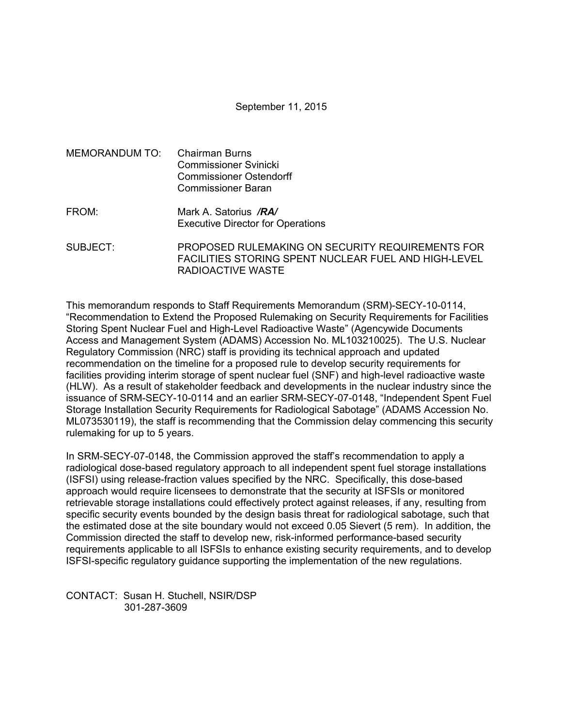## September 11, 2015

- MEMORANDUM TO: Chairman Burns Commissioner Svinicki Commissioner Ostendorff Commissioner Baran
- FROM: Mark A. Satorius */RA/*  Executive Director for Operations
- SUBJECT: PROPOSED RULEMAKING ON SECURITY REQUIREMENTS FOR FACILITIES STORING SPENT NUCLEAR FUEL AND HIGH-LEVEL RADIOACTIVE WASTE

This memorandum responds to Staff Requirements Memorandum (SRM)-SECY-10-0114, "Recommendation to Extend the Proposed Rulemaking on Security Requirements for Facilities Storing Spent Nuclear Fuel and High-Level Radioactive Waste" (Agencywide Documents Access and Management System (ADAMS) Accession No. ML103210025). The U.S. Nuclear Regulatory Commission (NRC) staff is providing its technical approach and updated recommendation on the timeline for a proposed rule to develop security requirements for facilities providing interim storage of spent nuclear fuel (SNF) and high-level radioactive waste (HLW). As a result of stakeholder feedback and developments in the nuclear industry since the issuance of SRM-SECY-10-0114 and an earlier SRM-SECY-07-0148, "Independent Spent Fuel Storage Installation Security Requirements for Radiological Sabotage" (ADAMS Accession No. ML073530119), the staff is recommending that the Commission delay commencing this security rulemaking for up to 5 years.

In SRM-SECY-07-0148, the Commission approved the staff's recommendation to apply a radiological dose-based regulatory approach to all independent spent fuel storage installations (ISFSI) using release-fraction values specified by the NRC. Specifically, this dose-based approach would require licensees to demonstrate that the security at ISFSIs or monitored retrievable storage installations could effectively protect against releases, if any, resulting from specific security events bounded by the design basis threat for radiological sabotage, such that the estimated dose at the site boundary would not exceed 0.05 Sievert (5 rem). In addition, the Commission directed the staff to develop new, risk-informed performance-based security requirements applicable to all ISFSIs to enhance existing security requirements, and to develop ISFSI-specific regulatory guidance supporting the implementation of the new regulations.

CONTACT: Susan H. Stuchell, NSIR/DSP 301-287-3609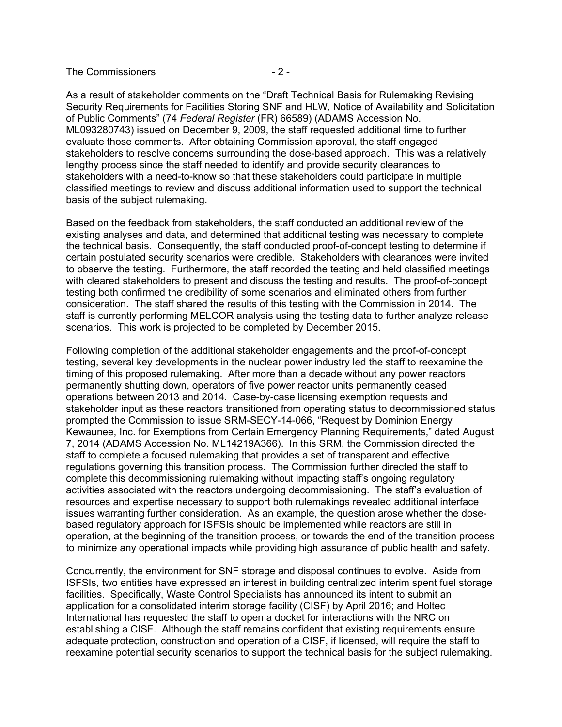## The Commissioners  $-2$  -

As a result of stakeholder comments on the "Draft Technical Basis for Rulemaking Revising Security Requirements for Facilities Storing SNF and HLW, Notice of Availability and Solicitation of Public Comments" (74 *Federal Register* (FR) 66589) (ADAMS Accession No. ML093280743) issued on December 9, 2009, the staff requested additional time to further evaluate those comments. After obtaining Commission approval, the staff engaged stakeholders to resolve concerns surrounding the dose-based approach. This was a relatively lengthy process since the staff needed to identify and provide security clearances to stakeholders with a need-to-know so that these stakeholders could participate in multiple classified meetings to review and discuss additional information used to support the technical basis of the subject rulemaking.

Based on the feedback from stakeholders, the staff conducted an additional review of the existing analyses and data, and determined that additional testing was necessary to complete the technical basis. Consequently, the staff conducted proof-of-concept testing to determine if certain postulated security scenarios were credible. Stakeholders with clearances were invited to observe the testing. Furthermore, the staff recorded the testing and held classified meetings with cleared stakeholders to present and discuss the testing and results. The proof-of-concept testing both confirmed the credibility of some scenarios and eliminated others from further consideration. The staff shared the results of this testing with the Commission in 2014. The staff is currently performing MELCOR analysis using the testing data to further analyze release scenarios. This work is projected to be completed by December 2015.

Following completion of the additional stakeholder engagements and the proof-of-concept testing, several key developments in the nuclear power industry led the staff to reexamine the timing of this proposed rulemaking. After more than a decade without any power reactors permanently shutting down, operators of five power reactor units permanently ceased operations between 2013 and 2014. Case-by-case licensing exemption requests and stakeholder input as these reactors transitioned from operating status to decommissioned status prompted the Commission to issue SRM-SECY-14-066, "Request by Dominion Energy Kewaunee, Inc. for Exemptions from Certain Emergency Planning Requirements," dated August 7, 2014 (ADAMS Accession No. ML14219A366). In this SRM, the Commission directed the staff to complete a focused rulemaking that provides a set of transparent and effective regulations governing this transition process. The Commission further directed the staff to complete this decommissioning rulemaking without impacting staff's ongoing regulatory activities associated with the reactors undergoing decommissioning. The staff's evaluation of resources and expertise necessary to support both rulemakings revealed additional interface issues warranting further consideration. As an example, the question arose whether the dosebased regulatory approach for ISFSIs should be implemented while reactors are still in operation, at the beginning of the transition process, or towards the end of the transition process to minimize any operational impacts while providing high assurance of public health and safety.

Concurrently, the environment for SNF storage and disposal continues to evolve. Aside from ISFSIs, two entities have expressed an interest in building centralized interim spent fuel storage facilities. Specifically, Waste Control Specialists has announced its intent to submit an application for a consolidated interim storage facility (CISF) by April 2016; and Holtec International has requested the staff to open a docket for interactions with the NRC on establishing a CISF. Although the staff remains confident that existing requirements ensure adequate protection, construction and operation of a CISF, if licensed, will require the staff to reexamine potential security scenarios to support the technical basis for the subject rulemaking.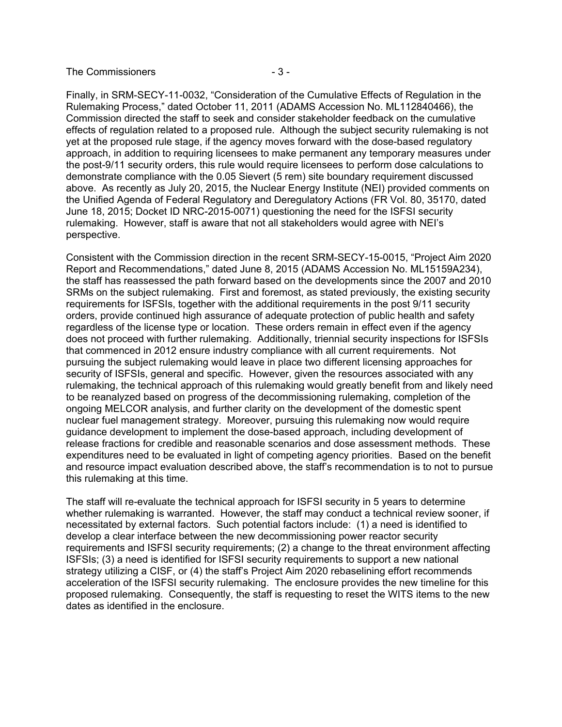#### The Commissioners  $-3-$

Finally, in SRM-SECY-11-0032, "Consideration of the Cumulative Effects of Regulation in the Rulemaking Process," dated October 11, 2011 (ADAMS Accession No. ML112840466), the Commission directed the staff to seek and consider stakeholder feedback on the cumulative effects of regulation related to a proposed rule. Although the subject security rulemaking is not yet at the proposed rule stage, if the agency moves forward with the dose-based regulatory approach, in addition to requiring licensees to make permanent any temporary measures under the post-9/11 security orders, this rule would require licensees to perform dose calculations to demonstrate compliance with the 0.05 Sievert (5 rem) site boundary requirement discussed above. As recently as July 20, 2015, the Nuclear Energy Institute (NEI) provided comments on the Unified Agenda of Federal Regulatory and Deregulatory Actions (FR Vol. 80, 35170, dated June 18, 2015; Docket ID NRC-2015-0071) questioning the need for the ISFSI security rulemaking. However, staff is aware that not all stakeholders would agree with NEI's perspective.

Consistent with the Commission direction in the recent SRM-SECY-15-0015, "Project Aim 2020 Report and Recommendations," dated June 8, 2015 (ADAMS Accession No. ML15159A234), the staff has reassessed the path forward based on the developments since the 2007 and 2010 SRMs on the subject rulemaking. First and foremost, as stated previously, the existing security requirements for ISFSIs, together with the additional requirements in the post 9/11 security orders, provide continued high assurance of adequate protection of public health and safety regardless of the license type or location. These orders remain in effect even if the agency does not proceed with further rulemaking. Additionally, triennial security inspections for ISFSIs that commenced in 2012 ensure industry compliance with all current requirements. Not pursuing the subject rulemaking would leave in place two different licensing approaches for security of ISFSIs, general and specific. However, given the resources associated with any rulemaking, the technical approach of this rulemaking would greatly benefit from and likely need to be reanalyzed based on progress of the decommissioning rulemaking, completion of the ongoing MELCOR analysis, and further clarity on the development of the domestic spent nuclear fuel management strategy. Moreover, pursuing this rulemaking now would require guidance development to implement the dose-based approach, including development of release fractions for credible and reasonable scenarios and dose assessment methods. These expenditures need to be evaluated in light of competing agency priorities. Based on the benefit and resource impact evaluation described above, the staff's recommendation is to not to pursue this rulemaking at this time.

The staff will re-evaluate the technical approach for ISFSI security in 5 years to determine whether rulemaking is warranted. However, the staff may conduct a technical review sooner, if necessitated by external factors. Such potential factors include: (1) a need is identified to develop a clear interface between the new decommissioning power reactor security requirements and ISFSI security requirements; (2) a change to the threat environment affecting ISFSIs; (3) a need is identified for ISFSI security requirements to support a new national strategy utilizing a CISF, or (4) the staff's Project Aim 2020 rebaselining effort recommends acceleration of the ISFSI security rulemaking. The enclosure provides the new timeline for this proposed rulemaking. Consequently, the staff is requesting to reset the WITS items to the new dates as identified in the enclosure.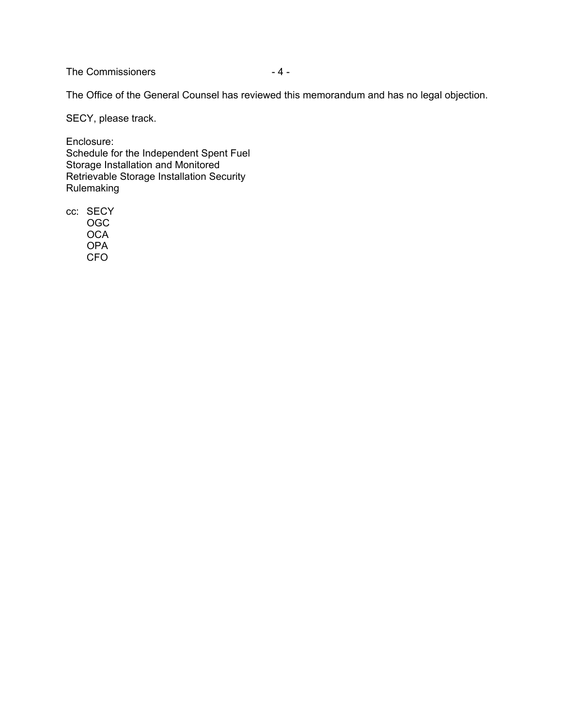The Commissioners  $-4-$ 

The Office of the General Counsel has reviewed this memorandum and has no legal objection.

SECY, please track.

Enclosure: Schedule for the Independent Spent Fuel Storage Installation and Monitored Retrievable Storage Installation Security Rulemaking

cc: SECY OGC **OCA** OPA

CFO